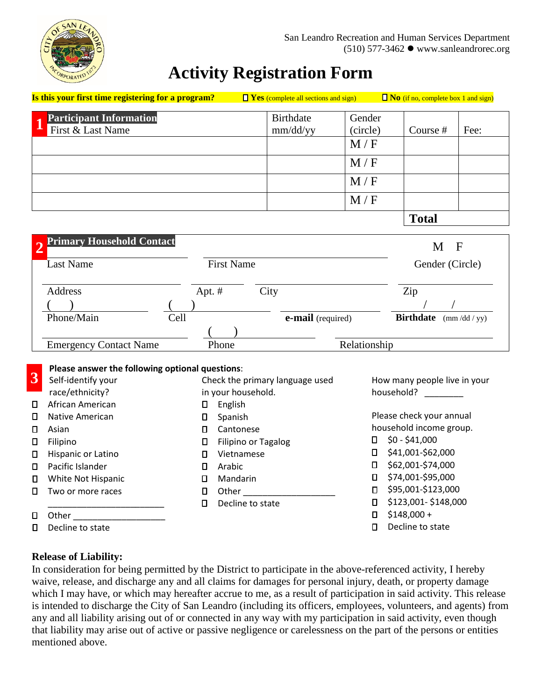

## **Activity Registration Form**

| Is this your first time registering for a program? |        |                   | $\Box$ Yes (complete all sections and sign) |              | $\Box$ <b>No</b> (if no, complete box 1 and sign)       |      |
|----------------------------------------------------|--------|-------------------|---------------------------------------------|--------------|---------------------------------------------------------|------|
| <b>Participant Information</b>                     |        |                   | <b>Birthdate</b>                            | Gender       |                                                         |      |
| First & Last Name                                  |        |                   | mm/dd/yy                                    | (circle)     | Course #                                                | Fee: |
|                                                    |        |                   |                                             | M/F          |                                                         |      |
|                                                    |        |                   |                                             | M/F          |                                                         |      |
|                                                    |        |                   |                                             | M/F          |                                                         |      |
|                                                    |        |                   |                                             | M/F          |                                                         |      |
|                                                    |        |                   |                                             |              | <b>Total</b>                                            |      |
| <b>Primary Household Contact</b><br>$\overline{2}$ |        |                   |                                             |              | $M$ F                                                   |      |
| Last Name                                          |        | <b>First Name</b> |                                             |              | Gender (Circle)                                         |      |
| Address                                            | Apt. # | City              |                                             |              | Zip                                                     |      |
|                                                    |        |                   |                                             |              |                                                         |      |
| Phone/Main                                         | Cell   | e-mail (required) |                                             |              | <b>Birthdate</b><br>$\frac{\text{mm}}{\text{dd}}$ / yy) |      |
|                                                    |        |                   |                                             |              |                                                         |      |
| <b>Emergency Contact Name</b>                      | Phone  |                   |                                             | Relationship |                                                         |      |

|        | Please answer the following optional questions: |                    |                                 |                         |                              |  |  |  |  |
|--------|-------------------------------------------------|--------------------|---------------------------------|-------------------------|------------------------------|--|--|--|--|
| 3      | Self-identify your                              |                    | Check the primary language used |                         | How many people live in your |  |  |  |  |
|        | race/ethnicity?                                 | in your household. |                                 | household?              |                              |  |  |  |  |
| $\Box$ | African American                                | 0                  | English                         |                         |                              |  |  |  |  |
| O      | Native American                                 | Π                  | Spanish                         |                         | Please check your annual     |  |  |  |  |
| O      | Asian                                           | Π                  | Cantonese                       | household income group. |                              |  |  |  |  |
| $\Box$ | Filipino                                        | 0                  | Filipino or Tagalog             | 0                       | $$0 - $41,000$               |  |  |  |  |
| О      | Hispanic or Latino                              |                    | Vietnamese                      | 0                       | \$41,001-\$62,000            |  |  |  |  |
| $\Box$ | Pacific Islander                                |                    | Arabic                          | □                       | \$62,001-\$74,000            |  |  |  |  |
| $\Box$ | White Not Hispanic                              |                    | Mandarin                        | 0                       | \$74,001-\$95,000            |  |  |  |  |
| n.     | Two or more races                               | П                  | Other                           | п                       | \$95,001-\$123,000           |  |  |  |  |
|        |                                                 | п.                 | Decline to state                | п                       | \$123,001-\$148,000          |  |  |  |  |
| О      | Other                                           |                    |                                 | п                       | $$148,000 +$                 |  |  |  |  |
| О      | Decline to state                                |                    |                                 | п                       | Decline to state             |  |  |  |  |

## **Release of Liability:**

In consideration for being permitted by the District to participate in the above-referenced activity, I hereby waive, release, and discharge any and all claims for damages for personal injury, death, or property damage which I may have, or which may hereafter accrue to me, as a result of participation in said activity. This release is intended to discharge the City of San Leandro (including its officers, employees, volunteers, and agents) from any and all liability arising out of or connected in any way with my participation in said activity, even though that liability may arise out of active or passive negligence or carelessness on the part of the persons or entities mentioned above.